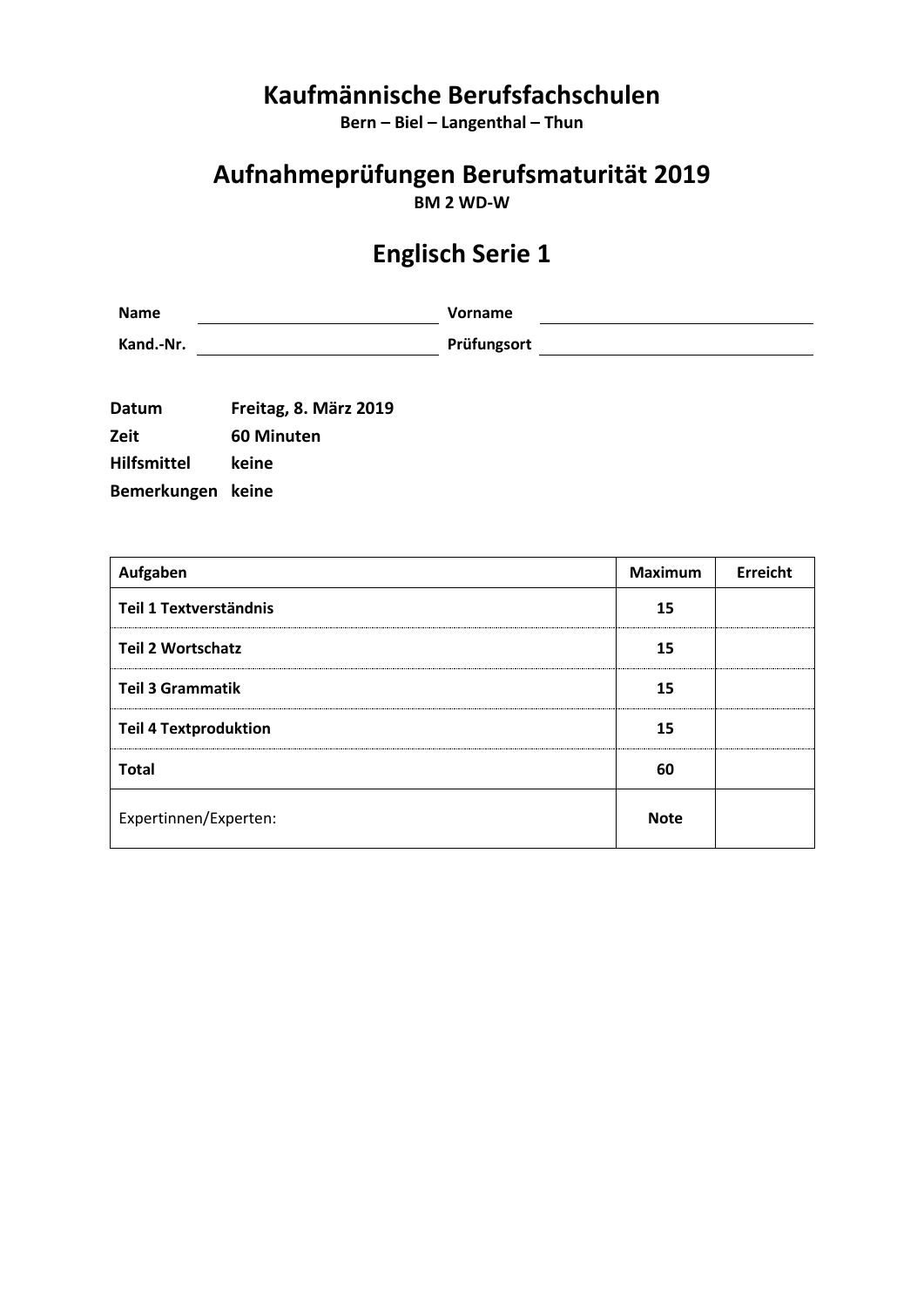# **Kaufmännische Berufsfachschulen**

**Bern – Biel – Langenthal – Thun**

# **Aufnahmeprüfungen Berufsmaturität 2019 BM 2 WD-W**

# **Englisch Serie 1**

| <b>Name</b> | <b>Vorname</b> |
|-------------|----------------|
| Kand.-Nr.   | Prüfungsort    |

| Datum              | Freitag, 8. März 2019 |
|--------------------|-----------------------|
| Zeit               | 60 Minuten            |
| <b>Hilfsmittel</b> | keine                 |
| Bemerkungen keine  |                       |

| Aufgaben                      | <b>Maximum</b> | Erreicht |
|-------------------------------|----------------|----------|
| <b>Teil 1 Textverständnis</b> | 15             |          |
| <b>Teil 2 Wortschatz</b>      | 15             |          |
| <b>Teil 3 Grammatik</b>       | 15             |          |
| <b>Teil 4 Textproduktion</b>  | 15             |          |
| <b>Total</b>                  | 60             |          |
| Expertinnen/Experten:         | <b>Note</b>    |          |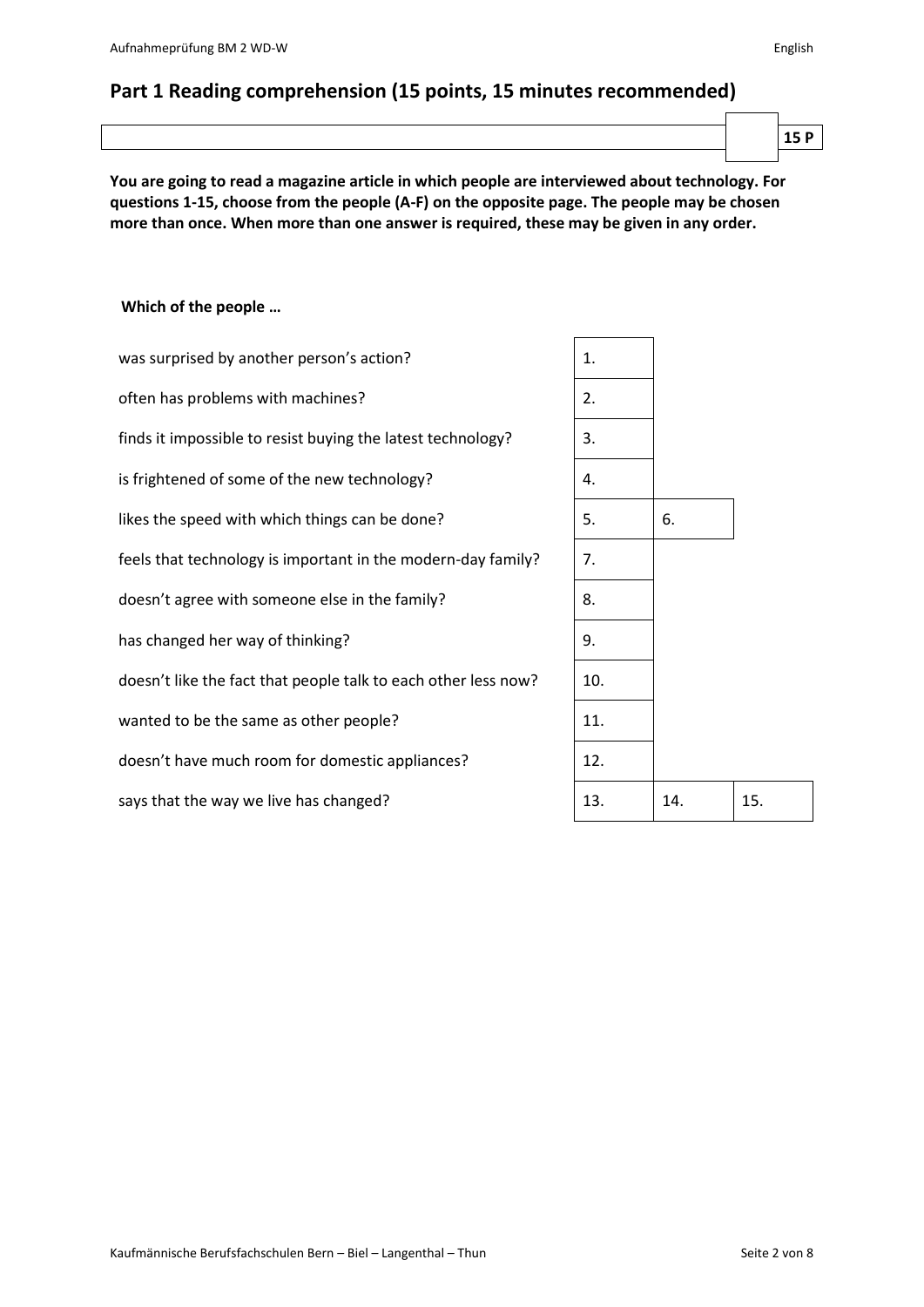**You are going to read a magazine article in which people are interviewed about technology. For questions 1-15, choose from the people (A-F) on the opposite page. The people may be chosen more than once. When more than one answer is required, these may be given in any order.**

#### **Which of the people …**

| was surprised by another person's action?                      | 1.  |     |     |
|----------------------------------------------------------------|-----|-----|-----|
| often has problems with machines?                              | 2.  |     |     |
| finds it impossible to resist buying the latest technology?    | 3.  |     |     |
| is frightened of some of the new technology?                   | 4.  |     |     |
| likes the speed with which things can be done?                 | 5.  | 6.  |     |
| feels that technology is important in the modern-day family?   | 7.  |     |     |
| doesn't agree with someone else in the family?                 | 8.  |     |     |
| has changed her way of thinking?                               | 9.  |     |     |
| doesn't like the fact that people talk to each other less now? | 10. |     |     |
| wanted to be the same as other people?                         | 11. |     |     |
| doesn't have much room for domestic appliances?                | 12. |     |     |
| says that the way we live has changed?                         | 13. | 14. | 15. |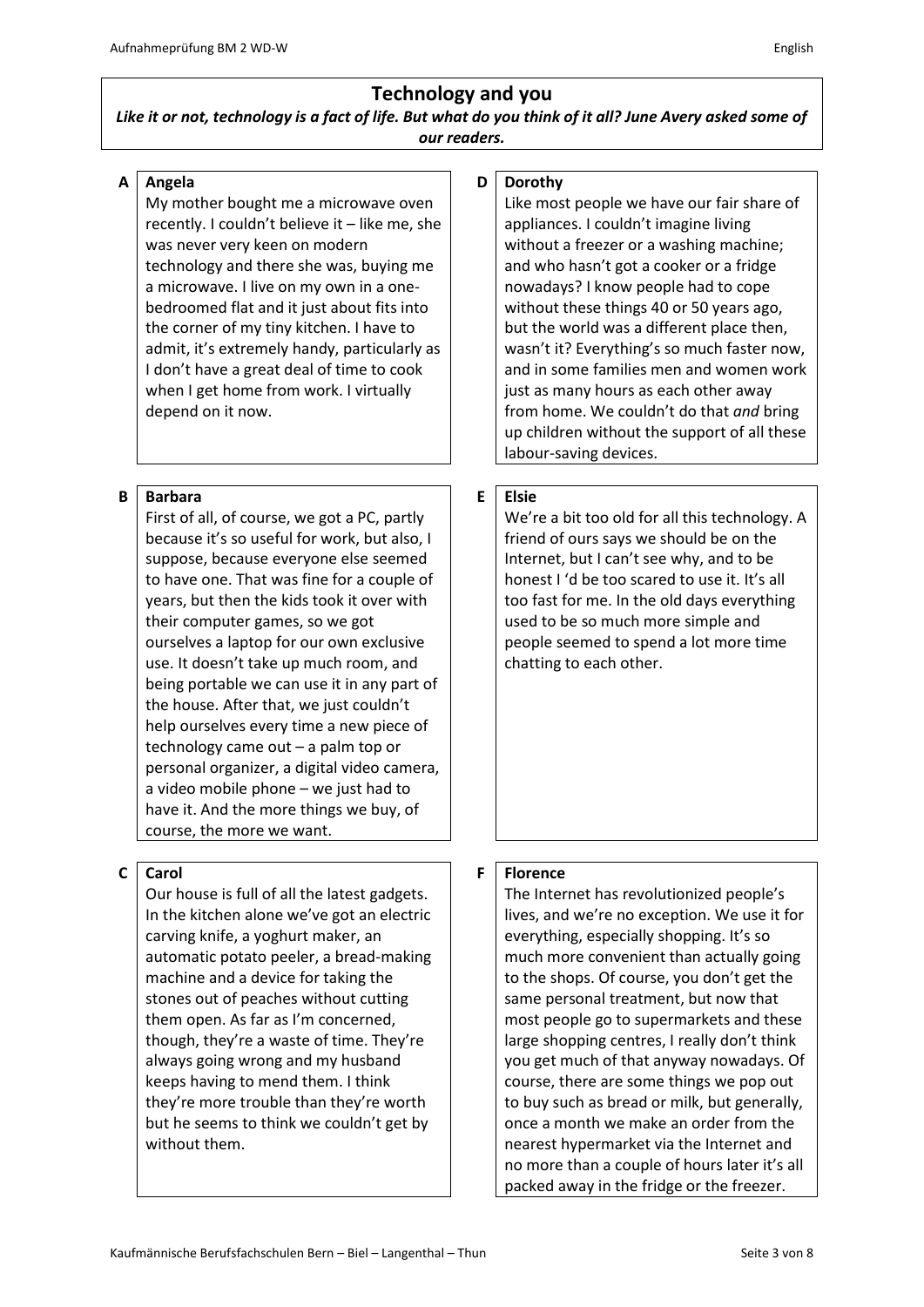## **Technology and you**

*Like it or not, technology is a fact of life. But what do you think of it all? June Avery asked some of our readers.*

#### **A Angela**

My mother bought me a microwave oven recently. I couldn't believe it – like me, she was never very keen on modern technology and there she was, buying me a microwave. I live on my own in a onebedroomed flat and it just about fits into the corner of my tiny kitchen. I have to admit, it's extremely handy, particularly as I don't have a great deal of time to cook when I get home from work. I virtually depend on it now.

#### **B Barbara**

First of all, of course, we got a PC, partly because it's so useful for work, but also, I suppose, because everyone else seemed to have one. That was fine for a couple of years, but then the kids took it over with their computer games, so we got ourselves a laptop for our own exclusive use. It doesn't take up much room, and being portable we can use it in any part of the house. After that, we just couldn't help ourselves every time a new piece of technology came out – a palm top or personal organizer, a digital video camera, a video mobile phone – we just had to have it. And the more things we buy, of course, the more we want.

#### **C Carol**

Our house is full of all the latest gadgets. In the kitchen alone we've got an electric carving knife, a yoghurt maker, an automatic potato peeler, a bread-making machine and a device for taking the stones out of peaches without cutting them open. As far as I'm concerned, though, they're a waste of time. They're always going wrong and my husband keeps having to mend them. I think they're more trouble than they're worth but he seems to think we couldn't get by without them.

#### **D Dorothy**

Like most people we have our fair share of appliances. I couldn't imagine living without a freezer or a washing machine; and who hasn't got a cooker or a fridge nowadays? I know people had to cope without these things 40 or 50 years ago, but the world was a different place then, wasn't it? Everything's so much faster now, and in some families men and women work just as many hours as each other away from home. We couldn't do that *and* bring up children without the support of all these labour-saving devices.

#### **E Elsie**

We're a bit too old for all this technology. A friend of ours says we should be on the Internet, but I can't see why, and to be honest I 'd be too scared to use it. It's all too fast for me. In the old days everything used to be so much more simple and people seemed to spend a lot more time chatting to each other.

#### **F Florence**

The Internet has revolutionized people's lives, and we're no exception. We use it for everything, especially shopping. It's so much more convenient than actually going to the shops. Of course, you don't get the same personal treatment, but now that most people go to supermarkets and these large shopping centres, I really don't think you get much of that anyway nowadays. Of course, there are some things we pop out to buy such as bread or milk, but generally, once a month we make an order from the nearest hypermarket via the Internet and no more than a couple of hours later it's all packed away in the fridge or the freezer.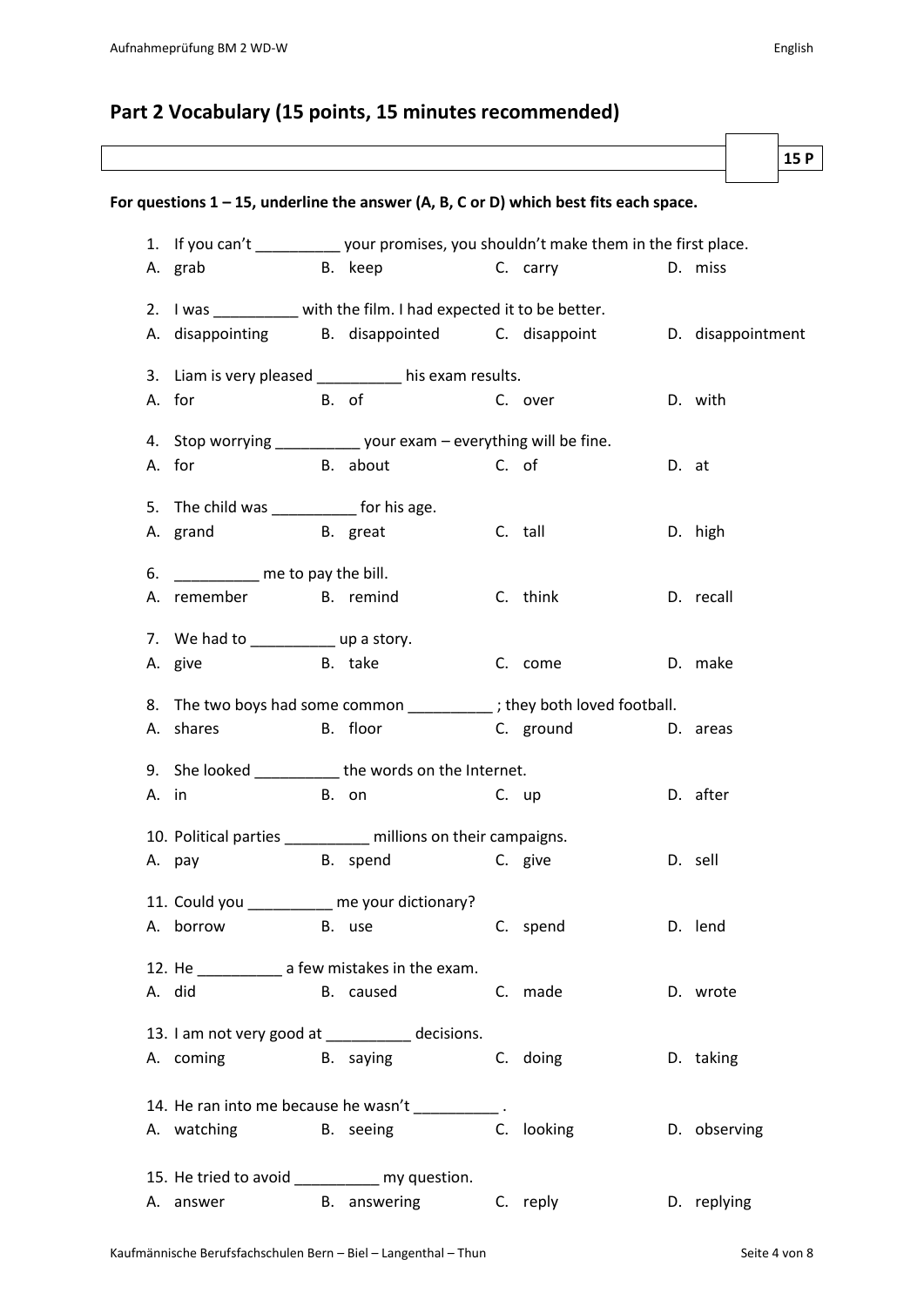## **Part 2 Vocabulary (15 points, 15 minutes recommended)**

|       |                                                                                                                                                                                                                                |                                                                                          |            |         |              | 15 P |
|-------|--------------------------------------------------------------------------------------------------------------------------------------------------------------------------------------------------------------------------------|------------------------------------------------------------------------------------------|------------|---------|--------------|------|
|       |                                                                                                                                                                                                                                | For questions $1 - 15$ , underline the answer (A, B, C or D) which best fits each space. |            |         |              |      |
|       |                                                                                                                                                                                                                                | 1. If you can't _____________ your promises, you shouldn't make them in the first place. |            |         |              |      |
|       | A. grab                                                                                                                                                                                                                        | B. keep C. carry                                                                         |            |         | D. miss      |      |
|       |                                                                                                                                                                                                                                | 2. I was _________ with the film. I had expected it to be better.                        |            |         |              |      |
|       |                                                                                                                                                                                                                                | A. disappointing B. disappointed C. disappoint D. disappointment                         |            |         |              |      |
|       |                                                                                                                                                                                                                                | 3. Liam is very pleased __________ his exam results.                                     |            |         |              |      |
|       | A. for the control of the control of the control of the control of the control of the control of the control of the control of the control of the control of the control of the control of the control of the control of the c | B. of                                                                                    | C. over    |         | D. with      |      |
|       |                                                                                                                                                                                                                                | 4. Stop worrying _____________ your exam - everything will be fine.                      |            |         |              |      |
|       | A. for the control of the control of the control of the control of the control of the control of the control of the control of the control of the control of the control of the control of the control of the control of the c | B. about C. of                                                                           |            | D. at   |              |      |
|       |                                                                                                                                                                                                                                |                                                                                          |            |         |              |      |
|       | 5. The child was _____________ for his age.<br>A. grand B. great                                                                                                                                                               |                                                                                          | C. tall    |         | D. high      |      |
|       |                                                                                                                                                                                                                                |                                                                                          |            |         |              |      |
|       | 6. ___________ me to pay the bill.                                                                                                                                                                                             |                                                                                          |            |         |              |      |
|       | A. remember B. remind                                                                                                                                                                                                          |                                                                                          | C. think   |         | D. recall    |      |
|       | 7. We had to ________________ up a story.                                                                                                                                                                                      |                                                                                          |            |         |              |      |
|       | A. give B. take                                                                                                                                                                                                                |                                                                                          | C. come    | D. make |              |      |
|       |                                                                                                                                                                                                                                | 8. The two boys had some common __________; they both loved football.                    |            |         |              |      |
|       | A. shares                                                                                                                                                                                                                      | B. floor C. ground D. areas                                                              |            |         |              |      |
|       |                                                                                                                                                                                                                                |                                                                                          |            |         |              |      |
| A. in |                                                                                                                                                                                                                                | 9. She looked ____________ the words on the Internet.<br>B. on C. up                     |            |         | D. after     |      |
|       |                                                                                                                                                                                                                                |                                                                                          |            |         |              |      |
|       |                                                                                                                                                                                                                                | 10. Political parties _________ millions on their campaigns.                             |            |         |              |      |
|       | A. pay                                                                                                                                                                                                                         | B. spend C. give                                                                         |            |         | D. sell      |      |
|       |                                                                                                                                                                                                                                | 11. Could you __________ me your dictionary?                                             |            |         |              |      |
|       |                                                                                                                                                                                                                                | A. borrow B. use                                                                         | C. spend   |         | D. lend      |      |
|       |                                                                                                                                                                                                                                | 12. He _______________ a few mistakes in the exam.                                       |            |         |              |      |
|       | A. did                                                                                                                                                                                                                         | B. caused                                                                                | C. made    |         | D. wrote     |      |
|       |                                                                                                                                                                                                                                | 13. I am not very good at _________ decisions.                                           |            |         |              |      |
|       |                                                                                                                                                                                                                                | A. coming The B. saying The C. doing                                                     |            |         | D. taking    |      |
|       |                                                                                                                                                                                                                                |                                                                                          |            |         |              |      |
|       |                                                                                                                                                                                                                                | 14. He ran into me because he wasn't __________.                                         |            |         |              |      |
|       |                                                                                                                                                                                                                                | A. watching B. seeing                                                                    | C. looking |         | D. observing |      |
|       |                                                                                                                                                                                                                                | 15. He tried to avoid ____________ my question.                                          |            |         |              |      |
|       |                                                                                                                                                                                                                                |                                                                                          |            |         |              |      |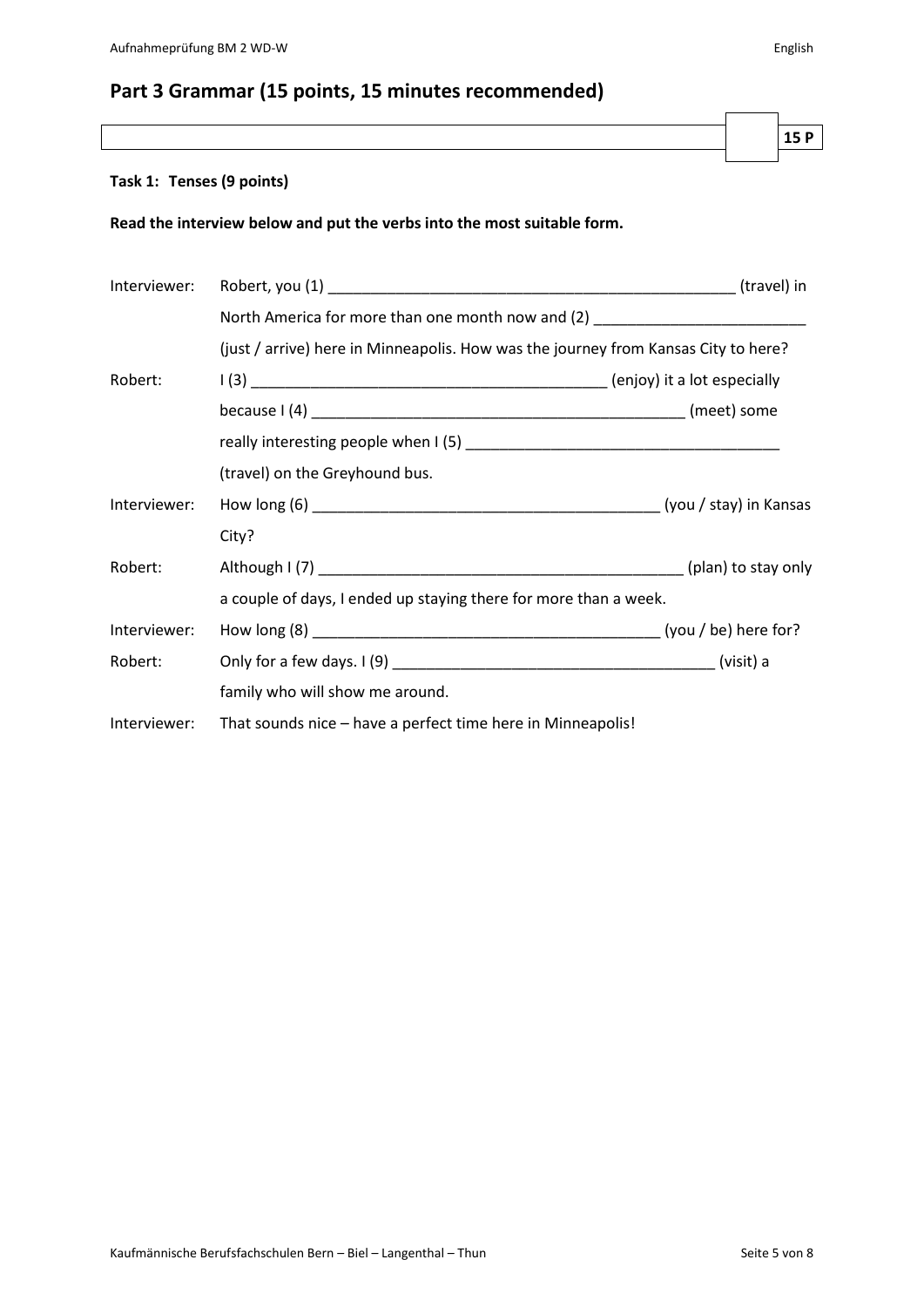#### **Task 1: Tenses (9 points)**

**Read the interview below and put the verbs into the most suitable form.**

| Interviewer: |                                                                                    |  |
|--------------|------------------------------------------------------------------------------------|--|
|              | North America for more than one month now and (2) ______________________________   |  |
|              | (just / arrive) here in Minneapolis. How was the journey from Kansas City to here? |  |
| Robert:      |                                                                                    |  |
|              |                                                                                    |  |
|              |                                                                                    |  |
|              | (travel) on the Greyhound bus.                                                     |  |
| Interviewer: |                                                                                    |  |
|              | City?                                                                              |  |
| Robert:      |                                                                                    |  |
|              | a couple of days, I ended up staying there for more than a week.                   |  |
| Interviewer: |                                                                                    |  |
| Robert:      |                                                                                    |  |
|              | family who will show me around.                                                    |  |
| Interviewer: | That sounds nice - have a perfect time here in Minneapolis!                        |  |

**15 P**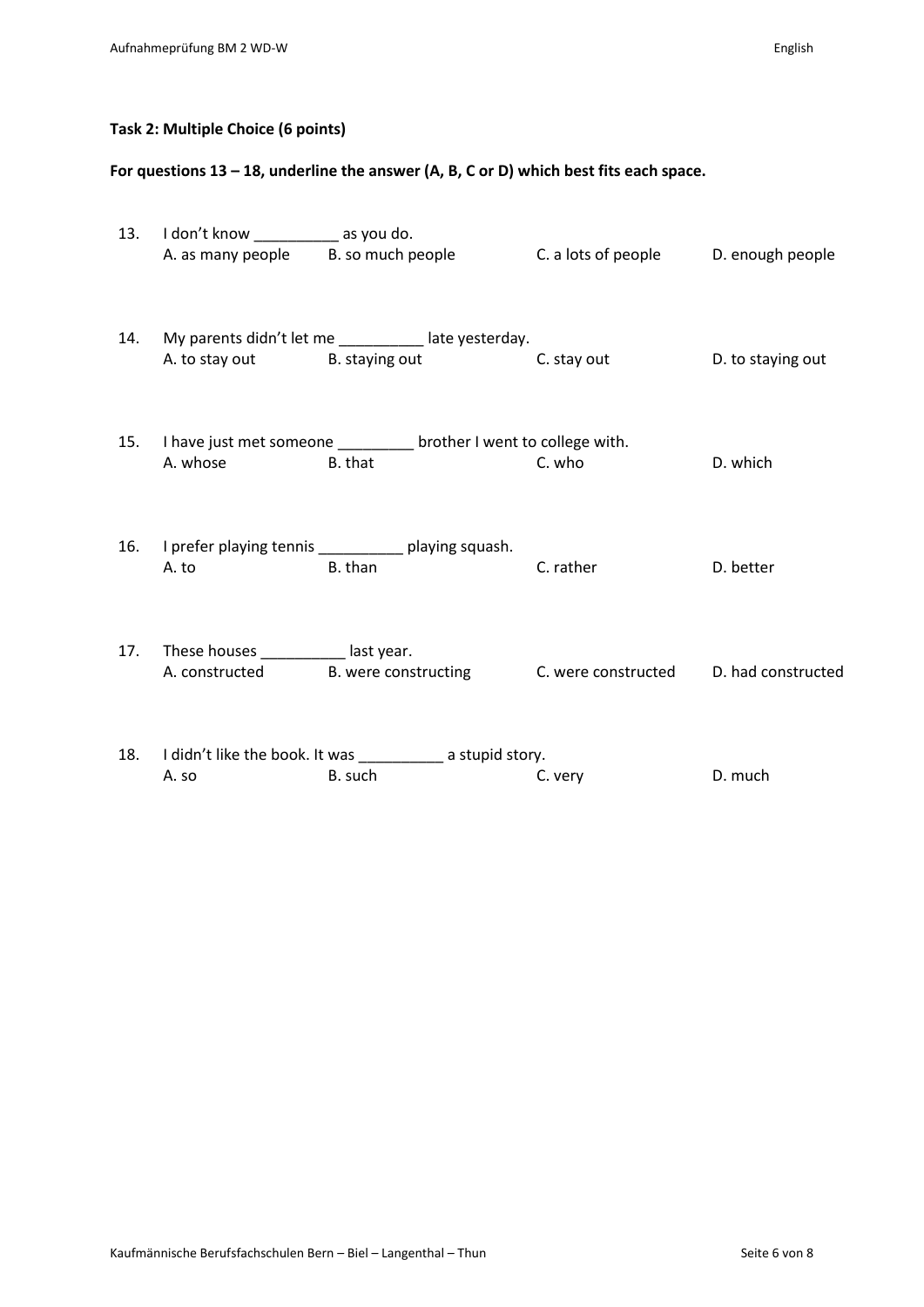### **Task 2: Multiple Choice (6 points)**

#### **For questions 13 – 18, underline the answer (A, B, C or D) which best fits each space.**

| 13. I don't know ____________ as you do.                                                                                                                                                                                       |                                                                                                      |               |                   |
|--------------------------------------------------------------------------------------------------------------------------------------------------------------------------------------------------------------------------------|------------------------------------------------------------------------------------------------------|---------------|-------------------|
|                                                                                                                                                                                                                                | A. as many people B. so much people C. a lots of people D. enough people                             |               |                   |
|                                                                                                                                                                                                                                | 14. My parents didn't let me __________ late yesterday.<br>A. to stay out B. staying out C. stay out |               | D. to staying out |
|                                                                                                                                                                                                                                | 15. I have just met someone _______ brother I went to college with.                                  |               |                   |
| A. whose and the state of the state of the state of the state of the state of the state of the state of the state of the state of the state of the state of the state of the state of the state of the state of the state of t | B. that                                                                                              | <b>C.</b> who | D. which          |
|                                                                                                                                                                                                                                | 16. I prefer playing tennis _____________ playing squash.                                            |               |                   |
| A. to a series a series of the series of the series of the series of the series of the series of the series of                                                                                                                 | B. than                                                                                              | C. rather     | D. better         |
| 17. These houses ___________ last year.                                                                                                                                                                                        |                                                                                                      |               |                   |
|                                                                                                                                                                                                                                | A. constructed B. were constructing C. were constructed D. had constructed                           |               |                   |
|                                                                                                                                                                                                                                | 18. I didn't like the book. It was ____________ a stupid story.                                      |               |                   |
| A. so                                                                                                                                                                                                                          | B. such                                                                                              | C. very       | D. much           |